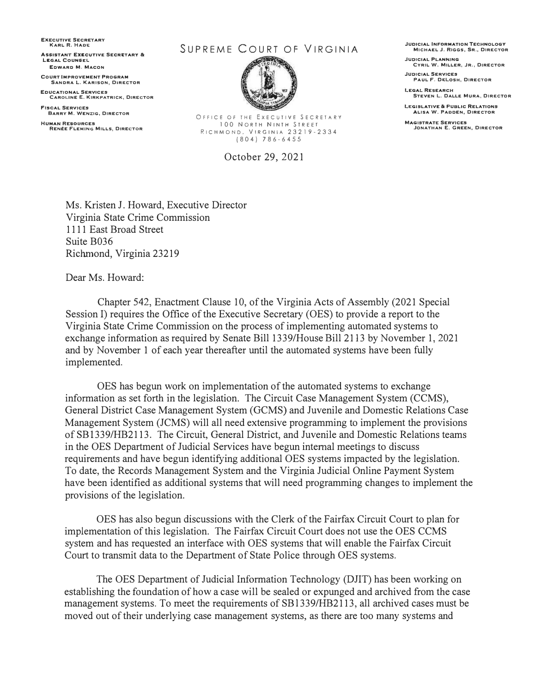**EXECUTIVE SECRETARY KARL R. HADE** 

**ASSISTANT EXECUTIVE SECRETARY & LEGAL COUNSEL EDWARD M. MACON** 

**COURT IMPROVEMENT PROGRAM SANDRA L. KARISON, DIRECTOR** 

**EDUCATIONAL SERVICES CAROLINE E. KIRKPATRICK, DIRECTOR** 

**FISCAL SERVICES BARRY M. WENZIG, DIRECTOR HUMAN RESOURCES** 

**RENtE FLEMING MILLS1 DIRECTOR** 

## SUPREME COURT OF VIRGINIA



OFFICE OF THE EXECUTIVE SECRETARY 100 NORTH NINTH STREET RICHMOND, VIRGINIA 23219-2334 (804) 786-6455

October 29, 2021

**JUDICIAL INFORMATION TECHNOLOGY MICHAEL J. RIGGS, SR,, DIRECTOR** 

**JUDICIAL PLANNING CYRIL W. MILLER, JR., DIRECTOR** 

**JUDICIAL SERVICES PAUL F. DELOSH, DIRECTOR** 

**LEGAL RESEARCH STEVEN L. DALL£ MURA, DIRECTOR** 

**LEGISLATIVE & PUBLIC RELATIONS ALISA W. PADDEN, DIRECTOR** 

**MAGISTRATE SERVICES JONATHAN E. GREEN, DIRECTOR** 

Ms. Kristen J. Howard, Executive Director Virginia State Crime Commission 1111 East Broad Street Suite B036 Richmond, Virginia 23219

Dear Ms. Howard:

Chapter 542, Enactment Clause 10, of the Virginia Acts of Assembly (2021 Special Session I) requires the Office of the Executive Secretary (OES) to provide a report to the Virginia State Crime Commission on the process of implementing automated systems to exchange information as required by Senate Bill 1339/House Bill 2113 by November 1, 2021 and by November 1 of each year thereafter until the automated systems have been fully implemented.

OES has begun work on implementation of the automated systems to exchange information as set forth in the legislation. The Circuit Case Management System (CCMS), General District Case Management System (GCMS) and Juvenile and Domestic Relations Case Management System (JCMS) will all need extensive programming to implement the provisions of SBI339/HB2113. The Circuit, General District, and Juvenile and Domestic Relations teams in the OES Department of Judicial Services have begun internal meetings to discuss requirements and have begun identifying additional OES systems impacted by the legislation. To date, the Records Management System and the Virginia Judicial Online Payment System have been identified as additional systems that will need programming changes to implement the provisions of the legislation.

OES has also begun discussions with the Clerk of the Fairfax Circuit Court to plan for implementation of this legislation. The Fairfax Circuit Court does not use the OES CCMS system and has requested an interface with OES systems that will enable the Fairfax Circuit Court to transmit data to the Department of State Police through OES systems.

The OES Department of Judicial Information Technology (DJIT) has been working on establishing the foundation of how a case will be sealed or expunged and archived from the case management systems. To meet the requirements of SB1339/HB2113, all archived cases must be moved out of their underlying case management systems, as there are too many systems and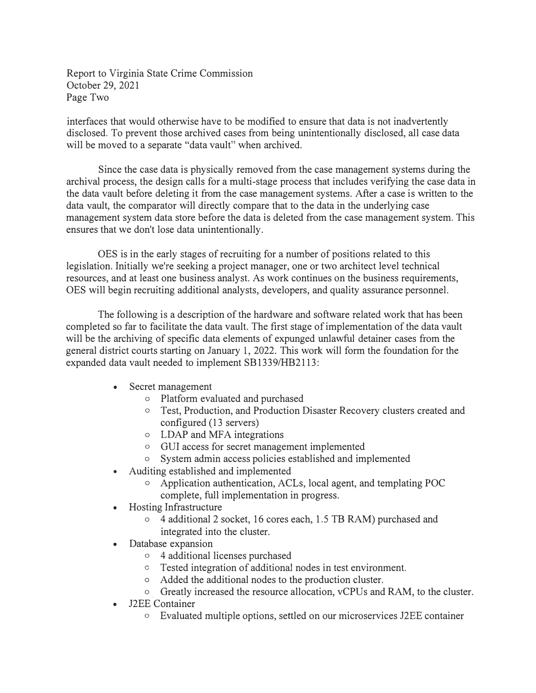Report to Virginia State Crime Commission October 29, 2021 Page Two

interfaces that would otherwise have to be modified to ensure that data is not inadvertently disclosed. To prevent those archived cases from being unintentionally disclosed, all case data will be moved to a separate "data vault" when archived.

Since the case data is physically removed from the case management systems during the archival process, the design calls for a multi-stage process that includes verifying the case data in the data vault before deleting it from the case management systems. After a case is written to the data vault, the comparator will directly compare that to the data in the underlying case management system data store before the data is deleted from the case management system. This ensures that we don't lose data unintentionally.

OES is in the early stages of recruiting for a number of positions related to this legislation. Initially we're seeking a project manager, one or two architect level technical resources, and at least one business analyst. As work continues on the business requirements, OES will begin recruiting additional analysts, developers, and quality assurance personnel.

The following is a description of the hardware and software related work that has been completed so far to facilitate the data vault. The first stage of implementation of the data vault will be the archiving of specific data elements of expunged unlawful detainer cases from the general district courts starting on January 1, 2022. This work will form the foundation for the expanded data vault needed to implement SB1339/HB2113:

- Secret management
	- o Platform evaluated and purchased
	- o Test, Production, and Production Disaster Recovery clusters created and configured (13 servers)
	- o LDAP and MFA integrations
	- o GUI access for secret management implemented
	- o System admin access policies established and implemented
- Auditing established and implemented
	- o Application authentication, ACLs, local agent, and templating POC complete, full implementation in progress.
- Hosting Infrastructure
	- o 4 additional 2 socket, 16 cores each, 1.5 TB RAM) purchased and integrated into the cluster.
- Database expansion
	- o 4 additional licenses purchased
	- o Tested integration of additional nodes in test environment.
	- o Added the additional nodes to the production cluster.
	- o. Greatly increased the resource allocation, vCPUs and RAM, to the cluster.
- J2EE Container
	- o Evaluated multiple options, settled on our microservices J2EE container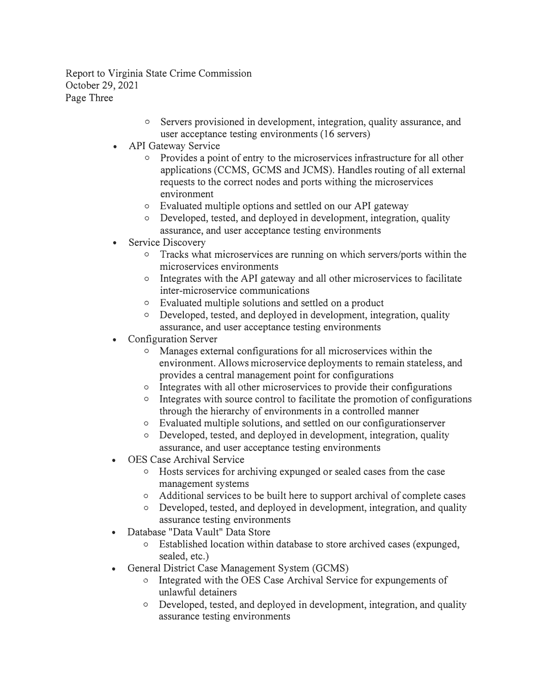Report to Virginia State Crime Commission October 29, 2021 Page Three

- o Servers provisioned in development, integration, quality assurance, and user acceptance testing environments (16 servers)
- API Gateway Service
	- o Provides a point of entry to the microservices infrastructure for all other applications (CCMS, GCMS and JCMS). Handles routing of all external requests to the correct nodes and ports withing the microservices environment
	- o Evaluated multiple options and settled on our API gateway
	- o Developed, tested, and deployed in development, integration, quality assurance, and user acceptance testing environments
- Service Discovery
	- o Tracks what microservices are running on which servers/ports within the microservices environments
	- o Integrates with the API gateway and all other microservices to facilitate inter-microservice communications
	- o Evaluated multiple solutions and settled on a product
	- o Developed, tested, and deployed in development, integration, quality assurance, and user acceptance testing environments
- Configuration Server
	- o Manages external configurations for all microservices within the environment. Allows microservice deployments to remain stateless, and provides a central management point for configurations
	- o Integrates with all other microservices to provide their configurations
	- o Integrates with source control to facilitate the promotion of configurations through the hierarchy of environments in a controlled manner
	- o Evaluated multiple solutions, and settled on our configurationserver
	- <sup>o</sup> Developed, tested, and deployed in development, integration, quality assurance, and user acceptance testing environments
- OES Case Archival Service
	- o Hosts seryices for archiving expunged or sealed cases from the case management systems
	- o Additional services to be built here to support archival of complete cases
	- o Developed, tested, and deployed in development, integration, and quality assurance testing environments
- Database "Data Vault" Data Store
	- o Established location within database to store archived cases ( expunged, sealed, etc.)
- General District Case Management System (GCMS)
	- o Integrated with the OES Case Archival Service for expungements of unlawful detainers
	- o Developed, tested, and deployed in development, integration, and quality assurance testing environments